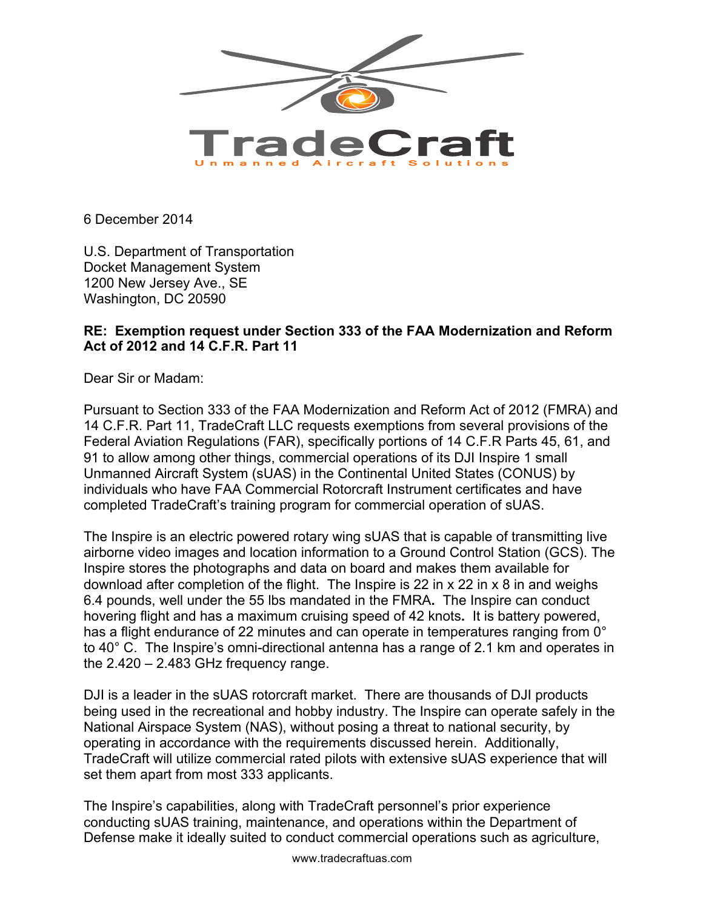

6 December 2014

U.S. Department of Transportation Docket Management System 1200 New Jersey Ave., SE Washington, DC 20590

### **RE: Exemption request under Section 333 of the FAA Modernization and Reform Act of 2012 and 14 C.F.R. Part 11**

Dear Sir or Madam:

Pursuant to Section 333 of the FAA Modernization and Reform Act of 2012 (FMRA) and 14 C.F.R. Part 11, TradeCraft LLC requests exemptions from several provisions of the Federal Aviation Regulations (FAR), specifically portions of 14 C.F.R Parts 45, 61, and 91 to allow among other things, commercial operations of its DJI Inspire 1 small Unmanned Aircraft System (sUAS) in the Continental United States (CONUS) by individuals who have FAA Commercial Rotorcraft Instrument certificates and have completed TradeCraft's training program for commercial operation of sUAS.

The Inspire is an electric powered rotary wing sUAS that is capable of transmitting live airborne video images and location information to a Ground Control Station (GCS). The Inspire stores the photographs and data on board and makes them available for download after completion of the flight. The Inspire is 22 in x 22 in x 8 in and weighs 6.4 pounds, well under the 55 lbs mandated in the FMRA**.** The Inspire can conduct hovering flight and has a maximum cruising speed of 42 knots**.** It is battery powered, has a flight endurance of 22 minutes and can operate in temperatures ranging from 0° to 40° C.The Inspire's omni-directional antenna has a range of 2.1 km and operates in the 2.420 – 2.483 GHz frequency range.

DJI is a leader in the sUAS rotorcraft market. There are thousands of DJI products being used in the recreational and hobby industry. The Inspire can operate safely in the National Airspace System (NAS), without posing a threat to national security, by operating in accordance with the requirements discussed herein. Additionally, TradeCraft will utilize commercial rated pilots with extensive sUAS experience that will set them apart from most 333 applicants.

The Inspire's capabilities, along with TradeCraft personnel's prior experience conducting sUAS training, maintenance, and operations within the Department of Defense make it ideally suited to conduct commercial operations such as agriculture,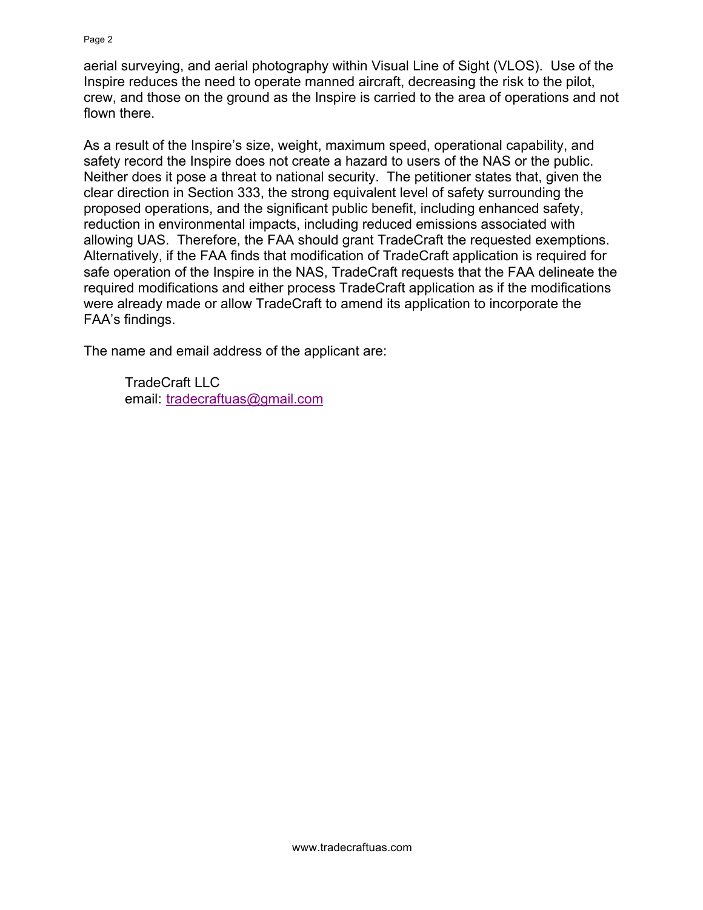aerial surveying, and aerial photography within Visual Line of Sight (VLOS). Use of the Inspire reduces the need to operate manned aircraft, decreasing the risk to the pilot, crew, and those on the ground as the Inspire is carried to the area of operations and not flown there.

As a result of the Inspire's size, weight, maximum speed, operational capability, and safety record the Inspire does not create a hazard to users of the NAS or the public. Neither does it pose a threat to national security. The petitioner states that, given the clear direction in Section 333, the strong equivalent level of safety surrounding the proposed operations, and the significant public benefit, including enhanced safety, reduction in environmental impacts, including reduced emissions associated with allowing UAS. Therefore, the FAA should grant TradeCraft the requested exemptions. Alternatively, if the FAA finds that modification of TradeCraft application is required for safe operation of the Inspire in the NAS, TradeCraft requests that the FAA delineate the required modifications and either process TradeCraft application as if the modifications were already made or allow TradeCraft to amend its application to incorporate the FAA's findings.

The name and email address of the applicant are:

TradeCraft LLC email: tradecraftuas@gmail.com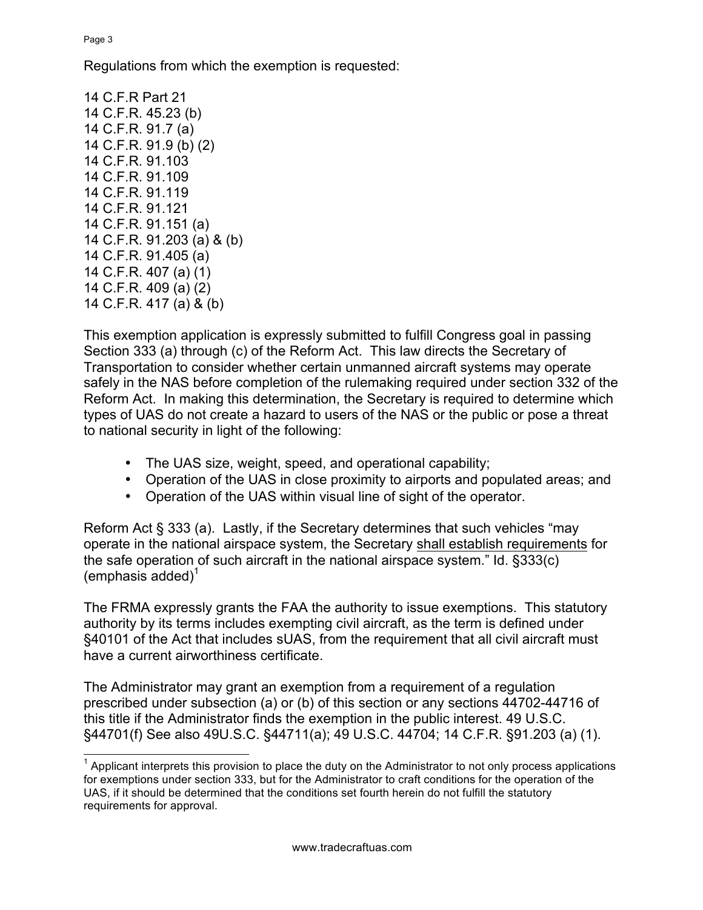Page 3

Regulations from which the exemption is requested:

14 C.F.R Part 21 14 C.F.R. 45.23 (b) 14 C.F.R. 91.7 (a) 14 C.F.R. 91.9 (b) (2) 14 C.F.R. 91.103 14 C.F.R. 91.109 14 C.F.R. 91.119 14 C.F.R. 91.121 14 C.F.R. 91.151 (a) 14 C.F.R. 91.203 (a) & (b) 14 C.F.R. 91.405 (a) 14 C.F.R. 407 (a) (1) 14 C.F.R. 409 (a) (2) 14 C.F.R. 417 (a) & (b)

This exemption application is expressly submitted to fulfill Congress goal in passing Section 333 (a) through (c) of the Reform Act. This law directs the Secretary of Transportation to consider whether certain unmanned aircraft systems may operate safely in the NAS before completion of the rulemaking required under section 332 of the Reform Act. In making this determination, the Secretary is required to determine which types of UAS do not create a hazard to users of the NAS or the public or pose a threat to national security in light of the following:

- The UAS size, weight, speed, and operational capability;
- Operation of the UAS in close proximity to airports and populated areas; and
- Operation of the UAS within visual line of sight of the operator.

Reform Act § 333 (a). Lastly, if the Secretary determines that such vehicles "may operate in the national airspace system, the Secretary shall establish requirements for the safe operation of such aircraft in the national airspace system." Id. §333(c)  $(emphasis added)^T$ 

The FRMA expressly grants the FAA the authority to issue exemptions. This statutory authority by its terms includes exempting civil aircraft, as the term is defined under §40101 of the Act that includes sUAS, from the requirement that all civil aircraft must have a current airworthiness certificate.

The Administrator may grant an exemption from a requirement of a regulation prescribed under subsection (a) or (b) of this section or any sections 44702-44716 of this title if the Administrator finds the exemption in the public interest. 49 U.S.C. §44701(f) See also 49U.S.C. §44711(a); 49 U.S.C. 44704; 14 C.F.R. §91.203 (a) (1).

 $<sup>1</sup>$  Applicant interprets this provision to place the duty on the Administrator to not only process applications</sup> for exemptions under section 333, but for the Administrator to craft conditions for the operation of the UAS, if it should be determined that the conditions set fourth herein do not fulfill the statutory requirements for approval.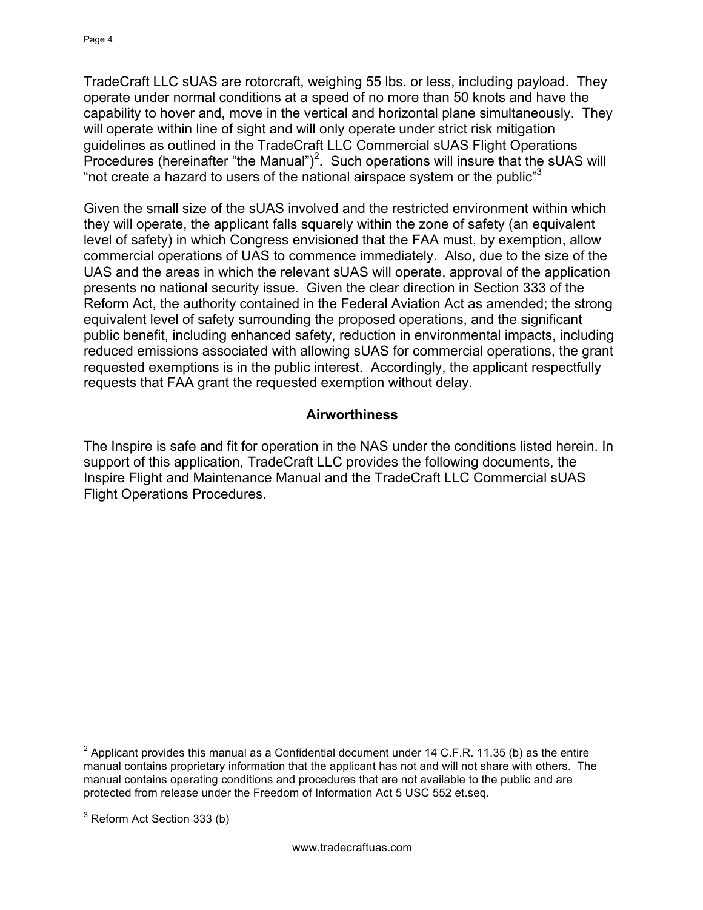TradeCraft LLC sUAS are rotorcraft, weighing 55 lbs. or less, including payload. They operate under normal conditions at a speed of no more than 50 knots and have the capability to hover and, move in the vertical and horizontal plane simultaneously. They will operate within line of sight and will only operate under strict risk mitigation guidelines as outlined in the TradeCraft LLC Commercial sUAS Flight Operations Procedures (hereinafter "the Manual")<sup>2</sup>. Such operations will insure that the sUAS will "not create a hazard to users of the national airspace system or the public" $3$ 

Given the small size of the sUAS involved and the restricted environment within which they will operate, the applicant falls squarely within the zone of safety (an equivalent level of safety) in which Congress envisioned that the FAA must, by exemption, allow commercial operations of UAS to commence immediately. Also, due to the size of the UAS and the areas in which the relevant sUAS will operate, approval of the application presents no national security issue. Given the clear direction in Section 333 of the Reform Act, the authority contained in the Federal Aviation Act as amended; the strong equivalent level of safety surrounding the proposed operations, and the significant public benefit, including enhanced safety, reduction in environmental impacts, including reduced emissions associated with allowing sUAS for commercial operations, the grant requested exemptions is in the public interest. Accordingly, the applicant respectfully requests that FAA grant the requested exemption without delay.

### **Airworthiness**

The Inspire is safe and fit for operation in the NAS under the conditions listed herein. In support of this application, TradeCraft LLC provides the following documents, the Inspire Flight and Maintenance Manual and the TradeCraft LLC Commercial sUAS Flight Operations Procedures.

 $2$  Applicant provides this manual as a Confidential document under 14 C.F.R. 11.35 (b) as the entire manual contains proprietary information that the applicant has not and will not share with others. The manual contains operating conditions and procedures that are not available to the public and are protected from release under the Freedom of Information Act 5 USC 552 et.seq.

 $3$  Reform Act Section 333 (b)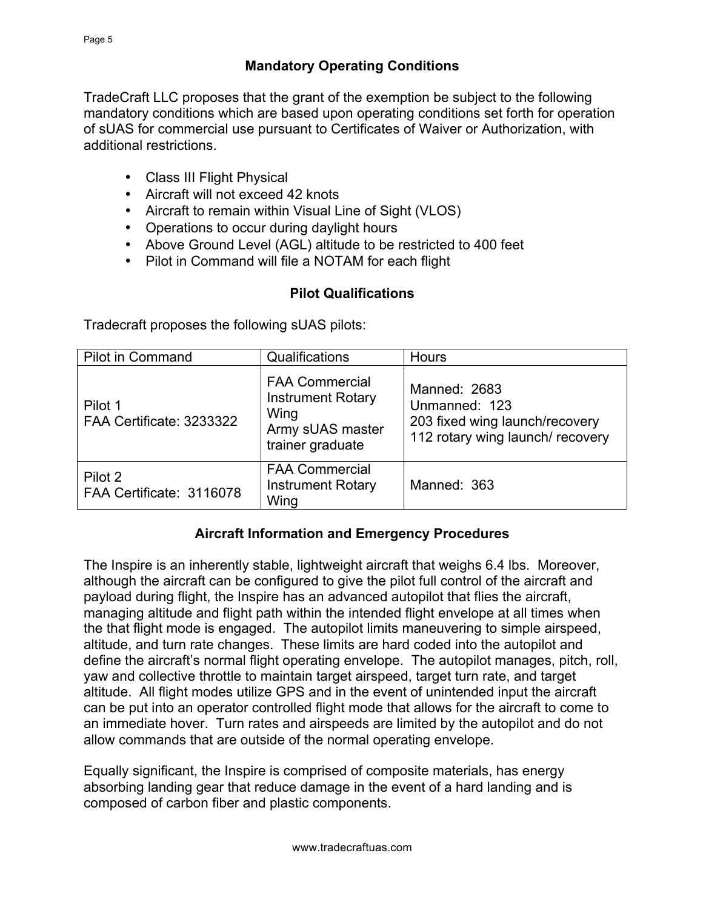### **Mandatory Operating Conditions**

TradeCraft LLC proposes that the grant of the exemption be subject to the following mandatory conditions which are based upon operating conditions set forth for operation of sUAS for commercial use pursuant to Certificates of Waiver or Authorization, with additional restrictions.

- Class III Flight Physical
- Aircraft will not exceed 42 knots
- Aircraft to remain within Visual Line of Sight (VLOS)
- Operations to occur during daylight hours
- Above Ground Level (AGL) altitude to be restricted to 400 feet
- Pilot in Command will file a NOTAM for each flight

### **Pilot Qualifications**

Tradecraft proposes the following sUAS pilots:

| <b>Pilot in Command</b>             | Qualifications                                                                                    | <b>Hours</b>                                                                                        |
|-------------------------------------|---------------------------------------------------------------------------------------------------|-----------------------------------------------------------------------------------------------------|
| Pilot 1<br>FAA Certificate: 3233322 | <b>FAA Commercial</b><br><b>Instrument Rotary</b><br>Wing<br>Army sUAS master<br>trainer graduate | Manned: 2683<br>Unmanned: 123<br>203 fixed wing launch/recovery<br>112 rotary wing launch/ recovery |
| Pilot 2<br>FAA Certificate: 3116078 | <b>FAA Commercial</b><br><b>Instrument Rotary</b><br>Wing                                         | Manned: 363                                                                                         |

#### **Aircraft Information and Emergency Procedures**

The Inspire is an inherently stable, lightweight aircraft that weighs 6.4 lbs. Moreover, although the aircraft can be configured to give the pilot full control of the aircraft and payload during flight, the Inspire has an advanced autopilot that flies the aircraft, managing altitude and flight path within the intended flight envelope at all times when the that flight mode is engaged. The autopilot limits maneuvering to simple airspeed, altitude, and turn rate changes. These limits are hard coded into the autopilot and define the aircraft's normal flight operating envelope. The autopilot manages, pitch, roll, yaw and collective throttle to maintain target airspeed, target turn rate, and target altitude. All flight modes utilize GPS and in the event of unintended input the aircraft can be put into an operator controlled flight mode that allows for the aircraft to come to an immediate hover. Turn rates and airspeeds are limited by the autopilot and do not allow commands that are outside of the normal operating envelope.

Equally significant, the Inspire is comprised of composite materials, has energy absorbing landing gear that reduce damage in the event of a hard landing and is composed of carbon fiber and plastic components.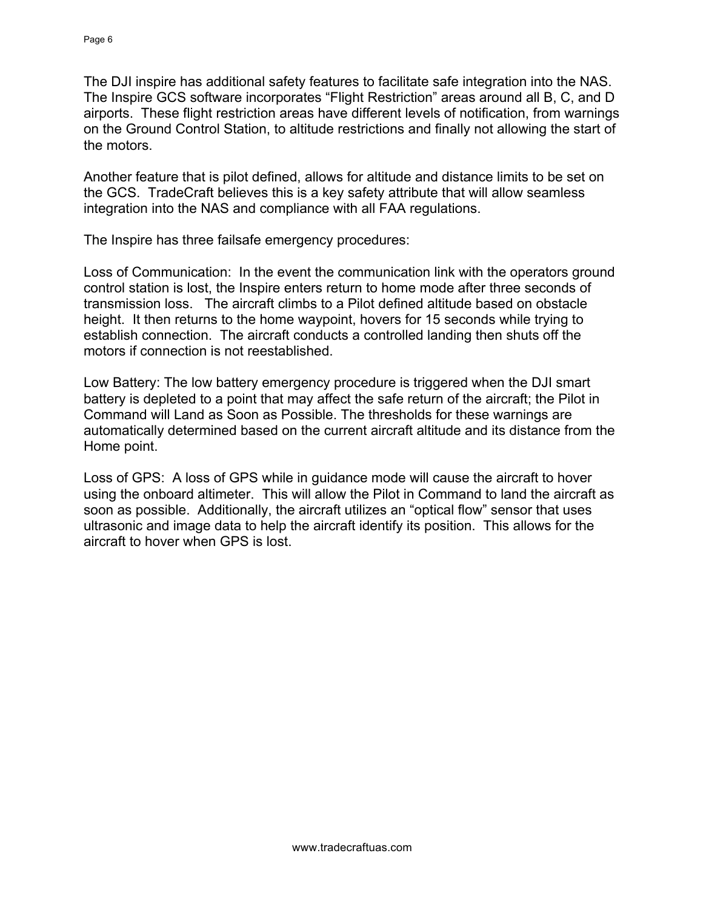The DJI inspire has additional safety features to facilitate safe integration into the NAS. The Inspire GCS software incorporates "Flight Restriction" areas around all B, C, and D airports. These flight restriction areas have different levels of notification, from warnings on the Ground Control Station, to altitude restrictions and finally not allowing the start of the motors.

Another feature that is pilot defined, allows for altitude and distance limits to be set on the GCS. TradeCraft believes this is a key safety attribute that will allow seamless integration into the NAS and compliance with all FAA regulations.

The Inspire has three failsafe emergency procedures:

Loss of Communication: In the event the communication link with the operators ground control station is lost, the Inspire enters return to home mode after three seconds of transmission loss. The aircraft climbs to a Pilot defined altitude based on obstacle height. It then returns to the home waypoint, hovers for 15 seconds while trying to establish connection. The aircraft conducts a controlled landing then shuts off the motors if connection is not reestablished.

Low Battery: The low battery emergency procedure is triggered when the DJI smart battery is depleted to a point that may affect the safe return of the aircraft; the Pilot in Command will Land as Soon as Possible. The thresholds for these warnings are automatically determined based on the current aircraft altitude and its distance from the Home point.

Loss of GPS: A loss of GPS while in guidance mode will cause the aircraft to hover using the onboard altimeter. This will allow the Pilot in Command to land the aircraft as soon as possible. Additionally, the aircraft utilizes an "optical flow" sensor that uses ultrasonic and image data to help the aircraft identify its position. This allows for the aircraft to hover when GPS is lost.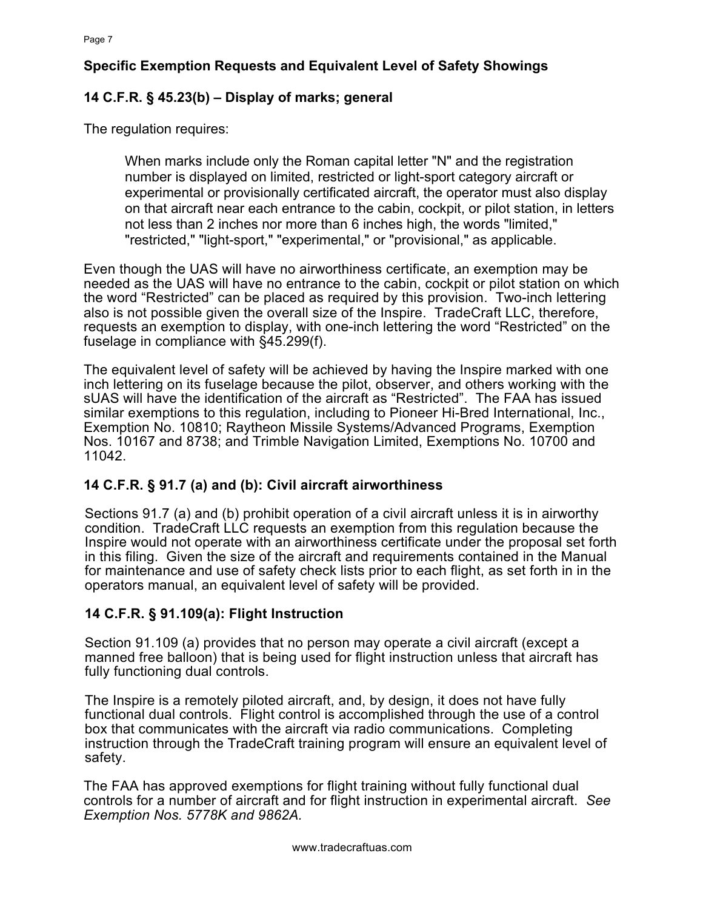# **Specific Exemption Requests and Equivalent Level of Safety Showings**

# **14 C.F.R. § 45.23(b) – Display of marks; general**

The regulation requires:

When marks include only the Roman capital letter "N" and the registration number is displayed on limited, restricted or light-sport category aircraft or experimental or provisionally certificated aircraft, the operator must also display on that aircraft near each entrance to the cabin, cockpit, or pilot station, in letters not less than 2 inches nor more than 6 inches high, the words "limited," "restricted," "light-sport," "experimental," or "provisional," as applicable.

Even though the UAS will have no airworthiness certificate, an exemption may be needed as the UAS will have no entrance to the cabin, cockpit or pilot station on which the word "Restricted" can be placed as required by this provision. Two-inch lettering also is not possible given the overall size of the Inspire. TradeCraft LLC, therefore, requests an exemption to display, with one-inch lettering the word "Restricted" on the fuselage in compliance with §45.299(f).

The equivalent level of safety will be achieved by having the Inspire marked with one inch lettering on its fuselage because the pilot, observer, and others working with the sUAS will have the identification of the aircraft as "Restricted". The FAA has issued similar exemptions to this regulation, including to Pioneer Hi-Bred International, Inc., Exemption No. 10810; Raytheon Missile Systems/Advanced Programs, Exemption Nos. 10167 and 8738; and Trimble Navigation Limited, Exemptions No. 10700 and 11042.

## **14 C.F.R. § 91.7 (a) and (b): Civil aircraft airworthiness**

Sections 91.7 (a) and (b) prohibit operation of a civil aircraft unless it is in airworthy condition. TradeCraft LLC requests an exemption from this regulation because the Inspire would not operate with an airworthiness certificate under the proposal set forth in this filing. Given the size of the aircraft and requirements contained in the Manual for maintenance and use of safety check lists prior to each flight, as set forth in in the operators manual, an equivalent level of safety will be provided.

## **14 C.F.R. § 91.109(a): Flight Instruction**

Section 91.109 (a) provides that no person may operate a civil aircraft (except a manned free balloon) that is being used for flight instruction unless that aircraft has fully functioning dual controls.

The Inspire is a remotely piloted aircraft, and, by design, it does not have fully functional dual controls. Flight control is accomplished through the use of a control box that communicates with the aircraft via radio communications. Completing instruction through the TradeCraft training program will ensure an equivalent level of safety.

The FAA has approved exemptions for flight training without fully functional dual controls for a number of aircraft and for flight instruction in experimental aircraft. *See Exemption Nos. 5778K and 9862A.*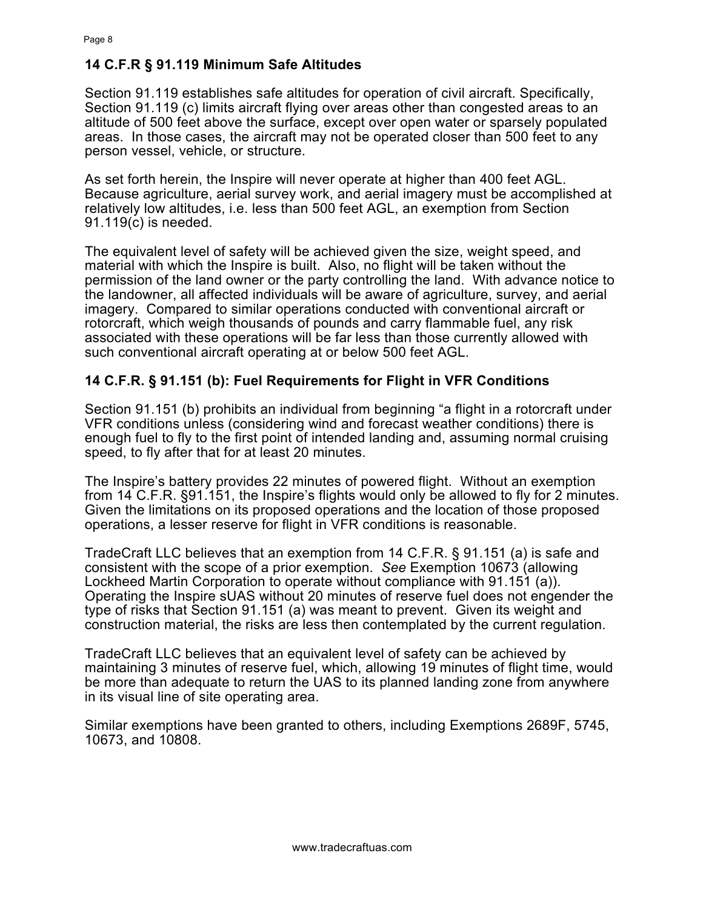#### **14 C.F.R § 91.119 Minimum Safe Altitudes**

Section 91.119 establishes safe altitudes for operation of civil aircraft. Specifically, Section 91.119 (c) limits aircraft flying over areas other than congested areas to an altitude of 500 feet above the surface, except over open water or sparsely populated areas. In those cases, the aircraft may not be operated closer than 500 feet to any person vessel, vehicle, or structure.

As set forth herein, the Inspire will never operate at higher than 400 feet AGL. Because agriculture, aerial survey work, and aerial imagery must be accomplished at relatively low altitudes, i.e. less than 500 feet AGL, an exemption from Section 91.119(c) is needed.

The equivalent level of safety will be achieved given the size, weight speed, and material with which the Inspire is built. Also, no flight will be taken without the permission of the land owner or the party controlling the land. With advance notice to the landowner, all affected individuals will be aware of agriculture, survey, and aerial imagery. Compared to similar operations conducted with conventional aircraft or rotorcraft, which weigh thousands of pounds and carry flammable fuel, any risk associated with these operations will be far less than those currently allowed with such conventional aircraft operating at or below 500 feet AGL.

#### **14 C.F.R. § 91.151 (b): Fuel Requirements for Flight in VFR Conditions**

Section 91.151 (b) prohibits an individual from beginning "a flight in a rotorcraft under VFR conditions unless (considering wind and forecast weather conditions) there is enough fuel to fly to the first point of intended landing and, assuming normal cruising speed, to fly after that for at least 20 minutes.

The Inspire's battery provides 22 minutes of powered flight. Without an exemption from 14 C.F.R. §91.151, the Inspire's flights would only be allowed to fly for 2 minutes. Given the limitations on its proposed operations and the location of those proposed operations, a lesser reserve for flight in VFR conditions is reasonable.

TradeCraft LLC believes that an exemption from 14 C.F.R. § 91.151 (a) is safe and consistent with the scope of a prior exemption. *See* Exemption 10673 (allowing Lockheed Martin Corporation to operate without compliance with 91.151 (a)). Operating the Inspire sUAS without 20 minutes of reserve fuel does not engender the type of risks that Section 91.151 (a) was meant to prevent. Given its weight and construction material, the risks are less then contemplated by the current regulation.

TradeCraft LLC believes that an equivalent level of safety can be achieved by maintaining 3 minutes of reserve fuel, which, allowing 19 minutes of flight time, would be more than adequate to return the UAS to its planned landing zone from anywhere in its visual line of site operating area.

Similar exemptions have been granted to others, including Exemptions 2689F, 5745, 10673, and 10808.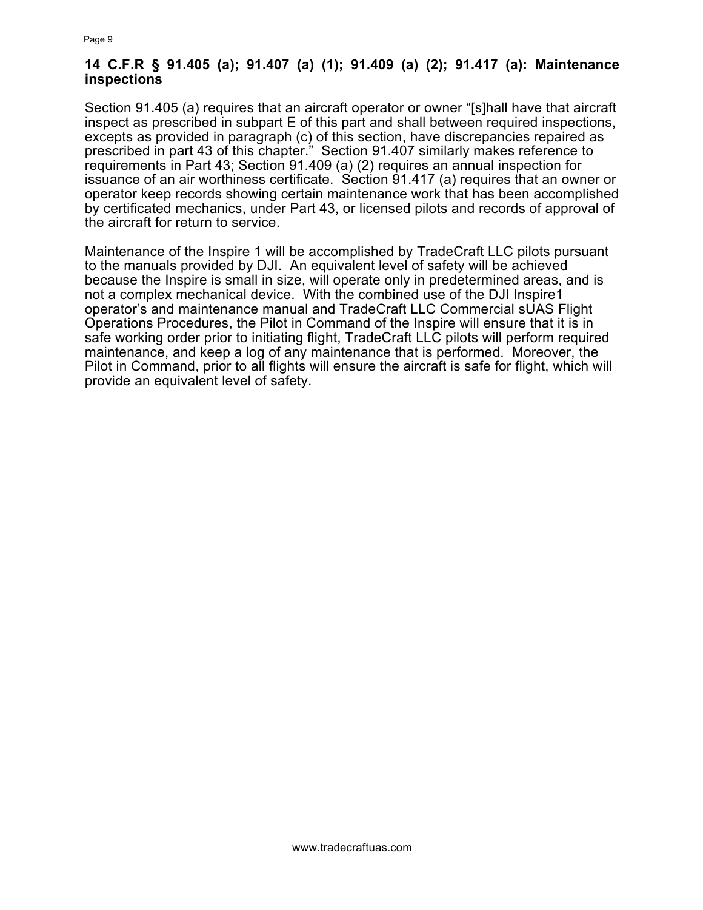#### **14 C.F.R § 91.405 (a); 91.407 (a) (1); 91.409 (a) (2); 91.417 (a): Maintenance inspections**

Section 91.405 (a) requires that an aircraft operator or owner "[s]hall have that aircraft inspect as prescribed in subpart E of this part and shall between required inspections, excepts as provided in paragraph (c) of this section, have discrepancies repaired as prescribed in part 43 of this chapter." Section 91.407 similarly makes reference to requirements in Part 43; Section 91.409 (a) (2) requires an annual inspection for issuance of an air worthiness certificate. Section 91.417 (a) requires that an owner or operator keep records showing certain maintenance work that has been accomplished by certificated mechanics, under Part 43, or licensed pilots and records of approval of the aircraft for return to service.

Maintenance of the Inspire 1 will be accomplished by TradeCraft LLC pilots pursuant to the manuals provided by DJI. An equivalent level of safety will be achieved because the Inspire is small in size, will operate only in predetermined areas, and is not a complex mechanical device. With the combined use of the DJI Inspire1 operator's and maintenance manual and TradeCraft LLC Commercial sUAS Flight Operations Procedures, the Pilot in Command of the Inspire will ensure that it is in safe working order prior to initiating flight, TradeCraft LLC pilots will perform required maintenance, and keep a log of any maintenance that is performed. Moreover, the Pilot in Command, prior to all flights will ensure the aircraft is safe for flight, which will provide an equivalent level of safety.